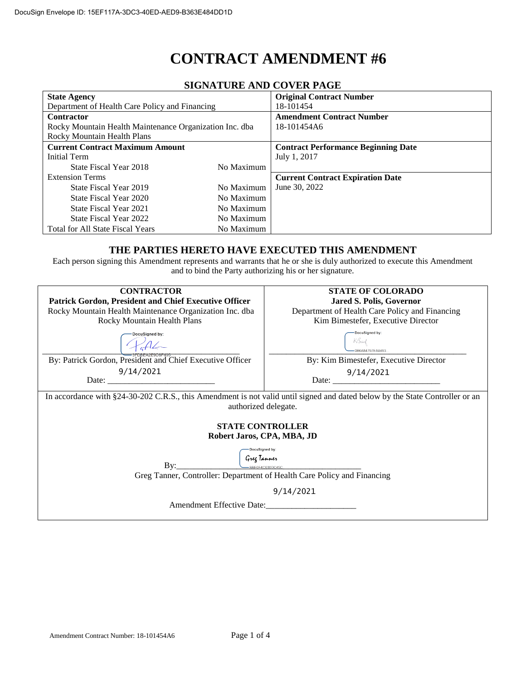# **CONTRACT AMENDMENT #6**

| 91911/1101\10 /1110 CO + DN 1 /1010                     |            |                                            |  |
|---------------------------------------------------------|------------|--------------------------------------------|--|
| <b>State Agency</b>                                     |            | <b>Original Contract Number</b>            |  |
| Department of Health Care Policy and Financing          |            | 18-101454                                  |  |
| <b>Contractor</b>                                       |            | <b>Amendment Contract Number</b>           |  |
| Rocky Mountain Health Maintenance Organization Inc. dba |            | 18-101454A6                                |  |
| <b>Rocky Mountain Health Plans</b>                      |            |                                            |  |
| <b>Current Contract Maximum Amount</b>                  |            | <b>Contract Performance Beginning Date</b> |  |
| Initial Term                                            |            | July 1, 2017                               |  |
| State Fiscal Year 2018                                  | No Maximum |                                            |  |
| <b>Extension Terms</b>                                  |            | <b>Current Contract Expiration Date</b>    |  |
| State Fiscal Year 2019                                  | No Maximum | June 30, 2022                              |  |
| State Fiscal Year 2020                                  | No Maximum |                                            |  |
| State Fiscal Year 2021                                  | No Maximum |                                            |  |
| State Fiscal Year 2022                                  | No Maximum |                                            |  |
| <b>Total for All State Fiscal Years</b>                 | No Maximum |                                            |  |

#### **SIGNATURE AND COVER PAGE**

#### **THE PARTIES HERETO HAVE EXECUTED THIS AMENDMENT**

Each person signing this Amendment represents and warrants that he or she is duly authorized to execute this Amendment and to bind the Party authorizing his or her signature.

| <b>CONTRACTOR</b>                                                                                                            | <b>STATE OF COLORADO</b>                       |  |  |
|------------------------------------------------------------------------------------------------------------------------------|------------------------------------------------|--|--|
|                                                                                                                              |                                                |  |  |
| Patrick Gordon, President and Chief Executive Officer                                                                        | <b>Jared S. Polis, Governor</b>                |  |  |
| Rocky Mountain Health Maintenance Organization Inc. dba                                                                      | Department of Health Care Policy and Financing |  |  |
| Rocky Mountain Health Plans                                                                                                  | Kim Bimestefer, Executive Director             |  |  |
| <b>DocuSigned by:</b>                                                                                                        | DocuSigned by:                                 |  |  |
|                                                                                                                              | 0B6A84797EA8493.                               |  |  |
| By: Patrick Gordon, President and Chief Executive Officer                                                                    | By: Kim Bimestefer, Executive Director         |  |  |
| 9/14/2021                                                                                                                    | 9/14/2021                                      |  |  |
|                                                                                                                              |                                                |  |  |
|                                                                                                                              |                                                |  |  |
| In accordance with §24-30-202 C.R.S., this Amendment is not valid until signed and dated below by the State Controller or an |                                                |  |  |
| authorized delegate.                                                                                                         |                                                |  |  |
|                                                                                                                              |                                                |  |  |
| <b>STATE CONTROLLER</b>                                                                                                      |                                                |  |  |
| Robert Jaros, CPA, MBA, JD                                                                                                   |                                                |  |  |
|                                                                                                                              |                                                |  |  |
| DocuSigned by:                                                                                                               |                                                |  |  |
| Greg Tanner                                                                                                                  |                                                |  |  |
| -BBE0F4C030DC45C                                                                                                             |                                                |  |  |
| Greg Tanner, Controller: Department of Health Care Policy and Financing                                                      |                                                |  |  |
| 9/14/2021                                                                                                                    |                                                |  |  |
| Amendment Effective Date:                                                                                                    |                                                |  |  |
|                                                                                                                              |                                                |  |  |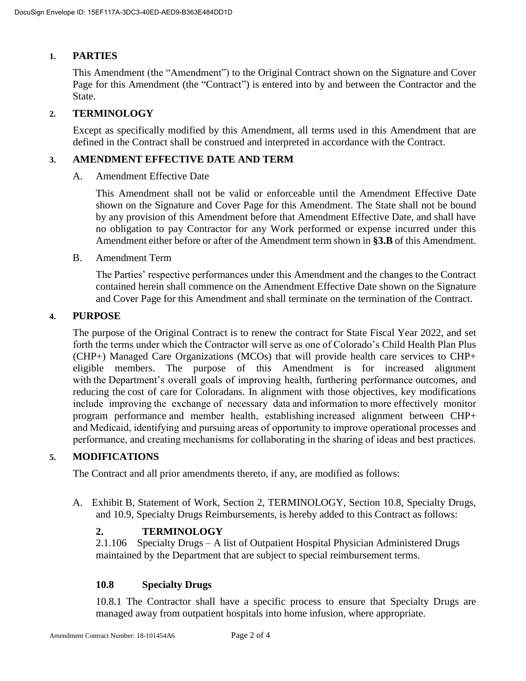## **1. PARTIES**

This Amendment (the "Amendment") to the Original Contract shown on the Signature and Cover Page for this Amendment (the "Contract") is entered into by and between the Contractor and the State.

## **2. TERMINOLOGY**

Except as specifically modified by this Amendment, all terms used in this Amendment that are defined in the Contract shall be construed and interpreted in accordance with the Contract.

### **3. AMENDMENT EFFECTIVE DATE AND TERM**

A. Amendment Effective Date

This Amendment shall not be valid or enforceable until the Amendment Effective Date shown on the Signature and Cover Page for this Amendment. The State shall not be bound by any provision of this Amendment before that Amendment Effective Date, and shall have no obligation to pay Contractor for any Work performed or expense incurred under this Amendment either before or after of the Amendment term shown in **[§3.B](#page--1-0)** of this Amendment.

B. Amendment Term

The Parties' respective performances under this Amendment and the changes to the Contract contained herein shall commence on the Amendment Effective Date shown on the Signature and Cover Page for this Amendment and shall terminate on the termination of the Contract.

#### **4. PURPOSE**

The purpose of the Original Contract is to renew the contract for State Fiscal Year 2022, and set forth the terms under which the Contractor will serve as one of Colorado's Child Health Plan Plus (CHP+) Managed Care Organizations (MCOs) that will provide health care services to CHP+ eligible members. The purpose of this Amendment is for increased alignment with the Department's overall goals of improving health, furthering performance outcomes, and reducing the cost of care for Coloradans. In alignment with those objectives, key modifications include improving the exchange of necessary data and information to more effectively monitor program performance and member health, establishing increased alignment between CHP+ and Medicaid, identifying and pursuing areas of opportunity to improve operational processes and performance, and creating mechanisms for collaborating in the sharing of ideas and best practices.

## **5. MODIFICATIONS**

The Contract and all prior amendments thereto, if any, are modified as follows:

A. Exhibit B, Statement of Work, Section 2, TERMINOLOGY, Section 10.8, Specialty Drugs, and 10.9, Specialty Drugs Reimbursements, is hereby added to this Contract as follows:

## **2. TERMINOLOGY**

2.1.106 Specialty Drugs – A list of Outpatient Hospital Physician Administered Drugs maintained by the Department that are subject to special reimbursement terms.

## **10.8 Specialty Drugs**

10.8.1 The Contractor shall have a specific process to ensure that Specialty Drugs are managed away from outpatient hospitals into home infusion, where appropriate.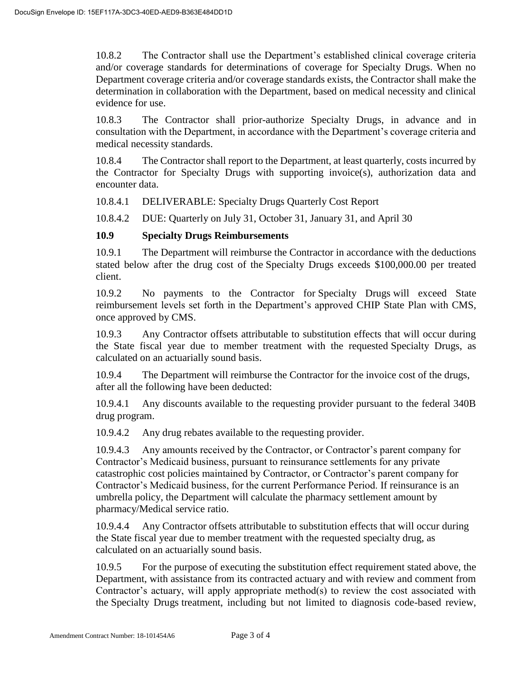10.8.2 The Contractor shall use the Department's established clinical coverage criteria and/or coverage standards for determinations of coverage for Specialty Drugs. When no Department coverage criteria and/or coverage standards exists, the Contractor shall make the determination in collaboration with the Department, based on medical necessity and clinical evidence for use.

10.8.3 The Contractor shall prior-authorize Specialty Drugs, in advance and in consultation with the Department, in accordance with the Department's coverage criteria and medical necessity standards.

10.8.4 The Contractor shall report to the Department, at least quarterly, costs incurred by the Contractor for Specialty Drugs with supporting invoice(s), authorization data and encounter data.

10.8.4.1 DELIVERABLE: Specialty Drugs Quarterly Cost Report

10.8.4.2 DUE: Quarterly on July 31, October 31, January 31, and April 30

#### **10.9 Specialty Drugs Reimbursements**

10.9.1 The Department will reimburse the Contractor in accordance with the deductions stated below after the drug cost of the Specialty Drugs exceeds \$100,000.00 per treated client.

10.9.2 No payments to the Contractor for Specialty Drugs will exceed State reimbursement levels set forth in the Department's approved CHIP State Plan with CMS, once approved by CMS.

10.9.3 Any Contractor offsets attributable to substitution effects that will occur during the State fiscal year due to member treatment with the requested Specialty Drugs, as calculated on an actuarially sound basis.

10.9.4 The Department will reimburse the Contractor for the invoice cost of the drugs, after all the following have been deducted:

10.9.4.1 Any discounts available to the requesting provider pursuant to the federal 340B drug program.

10.9.4.2 Any drug rebates available to the requesting provider.

10.9.4.3 Any amounts received by the Contractor, or Contractor's parent company for Contractor's Medicaid business, pursuant to reinsurance settlements for any private catastrophic cost policies maintained by Contractor, or Contractor's parent company for Contractor's Medicaid business, for the current Performance Period. If reinsurance is an umbrella policy, the Department will calculate the pharmacy settlement amount by pharmacy/Medical service ratio.

10.9.4.4 Any Contractor offsets attributable to substitution effects that will occur during the State fiscal year due to member treatment with the requested specialty drug, as calculated on an actuarially sound basis.

10.9.5 For the purpose of executing the substitution effect requirement stated above, the Department, with assistance from its contracted actuary and with review and comment from Contractor's actuary, will apply appropriate method(s) to review the cost associated with the Specialty Drugs treatment, including but not limited to diagnosis code-based review,